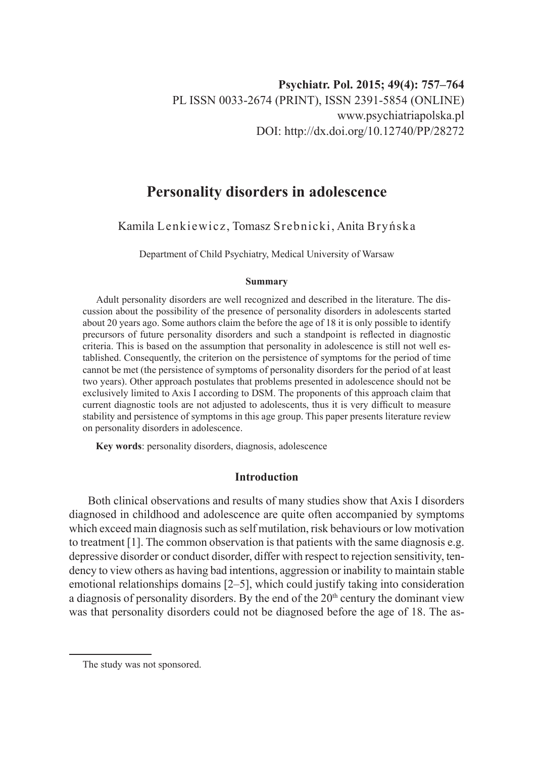# **Personality disorders in adolescence**

Kamila Lenkiewicz, Tomasz Srebnicki, Anita Bryńska

Department of Child Psychiatry, Medical University of Warsaw

#### **Summary**

Adult personality disorders are well recognized and described in the literature. The discussion about the possibility of the presence of personality disorders in adolescents started about 20 years ago. Some authors claim the before the age of 18 it is only possible to identify precursors of future personality disorders and such a standpoint is reflected in diagnostic criteria. This is based on the assumption that personality in adolescence is still not well established. Consequently, the criterion on the persistence of symptoms for the period of time cannot be met (the persistence of symptoms of personality disorders for the period of at least two years). Other approach postulates that problems presented in adolescence should not be exclusively limited to Axis I according to DSM. The proponents of this approach claim that current diagnostic tools are not adjusted to adolescents, thus it is very difficult to measure stability and persistence of symptoms in this age group. This paper presents literature review on personality disorders in adolescence.

**Key words**: personality disorders, diagnosis, adolescence

# **Introduction**

Both clinical observations and results of many studies show that Axis I disorders diagnosed in childhood and adolescence are quite often accompanied by symptoms which exceed main diagnosis such as self mutilation, risk behaviours or low motivation to treatment [1]. The common observation is that patients with the same diagnosis e.g. depressive disorder or conduct disorder, differ with respect to rejection sensitivity, tendency to view others as having bad intentions, aggression or inability to maintain stable emotional relationships domains [2–5], which could justify taking into consideration a diagnosis of personality disorders. By the end of the  $20<sup>th</sup>$  century the dominant view was that personality disorders could not be diagnosed before the age of 18. The as-

The study was not sponsored.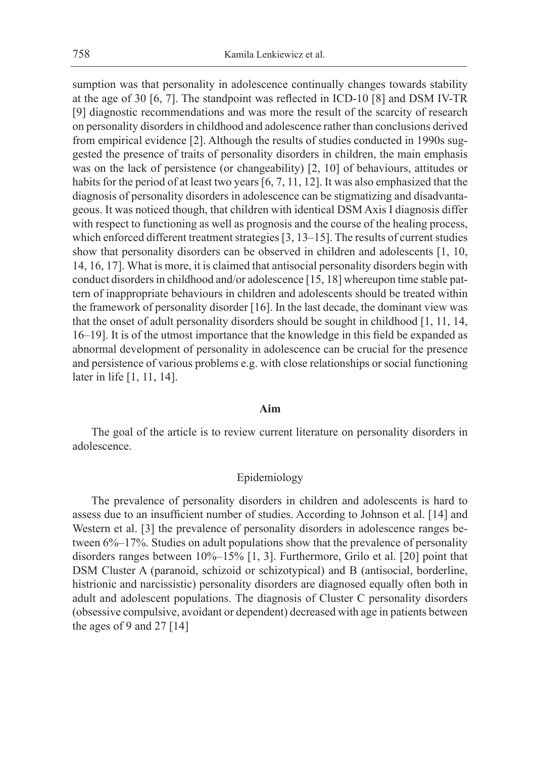sumption was that personality in adolescence continually changes towards stability at the age of 30 [6, 7]. The standpoint was reflected in ICD-10 [8] and DSM IV-TR [9] diagnostic recommendations and was more the result of the scarcity of research on personality disorders in childhood and adolescence rather than conclusions derived from empirical evidence [2]. Although the results of studies conducted in 1990s suggested the presence of traits of personality disorders in children, the main emphasis was on the lack of persistence (or changeability) [2, 10] of behaviours, attitudes or habits for the period of at least two years [6, 7, 11, 12]. It was also emphasized that the diagnosis of personality disorders in adolescence can be stigmatizing and disadvantageous. It was noticed though, that children with identical DSM Axis I diagnosis differ with respect to functioning as well as prognosis and the course of the healing process, which enforced different treatment strategies [3, 13–15]. The results of current studies show that personality disorders can be observed in children and adolescents [1, 10, 14, 16, 17]. What is more, it is claimed that antisocial personality disorders begin with conduct disorders in childhood and/or adolescence [15, 18] whereupon time stable pattern of inappropriate behaviours in children and adolescents should be treated within the framework of personality disorder [16]. In the last decade, the dominant view was that the onset of adult personality disorders should be sought in childhood [1, 11, 14, 16–19]. It is of the utmost importance that the knowledge in this field be expanded as abnormal development of personality in adolescence can be crucial for the presence and persistence of various problems e.g. with close relationships or social functioning later in life [1, 11, 14].

#### **Aim**

The goal of the article is to review current literature on personality disorders in adolescence.

# Epidemiology

The prevalence of personality disorders in children and adolescents is hard to assess due to an insufficient number of studies. According to Johnson et al. [14] and Western et al. [3] the prevalence of personality disorders in adolescence ranges between 6%–17%. Studies on adult populations show that the prevalence of personality disorders ranges between 10%–15% [1, 3]. Furthermore, Grilo et al. [20] point that DSM Cluster A (paranoid, schizoid or schizotypical) and B (antisocial, borderline, histrionic and narcissistic) personality disorders are diagnosed equally often both in adult and adolescent populations. The diagnosis of Cluster C personality disorders (obsessive compulsive, avoidant or dependent) decreased with age in patients between the ages of 9 and 27  $[14]$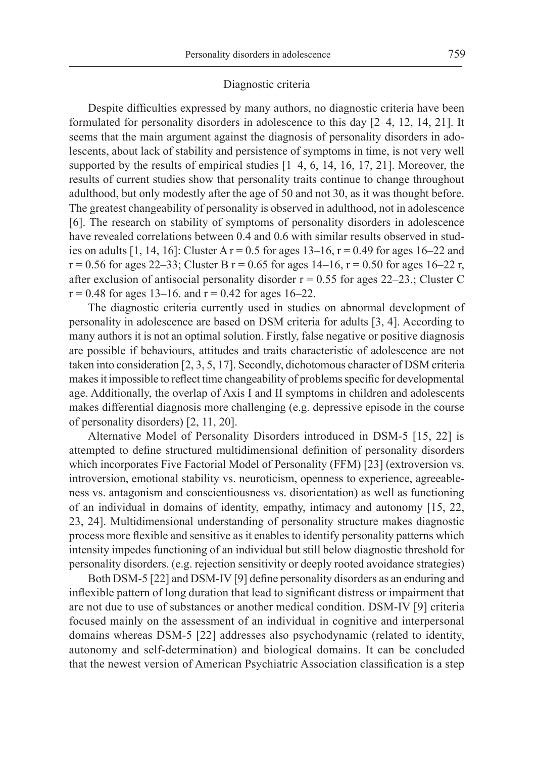#### Diagnostic criteria

Despite difficulties expressed by many authors, no diagnostic criteria have been formulated for personality disorders in adolescence to this day [2–4, 12, 14, 21]. It seems that the main argument against the diagnosis of personality disorders in adolescents, about lack of stability and persistence of symptoms in time, is not very well supported by the results of empirical studies [1–4, 6, 14, 16, 17, 21]. Moreover, the results of current studies show that personality traits continue to change throughout adulthood, but only modestly after the age of 50 and not 30, as it was thought before. The greatest changeability of personality is observed in adulthood, not in adolescence [6]. The research on stability of symptoms of personality disorders in adolescence have revealed correlations between 0.4 and 0.6 with similar results observed in studies on adults [1, 14, 16]: Cluster A  $r = 0.5$  for ages 13–16,  $r = 0.49$  for ages 16–22 and  $r = 0.56$  for ages 22–33; Cluster B  $r = 0.65$  for ages 14–16,  $r = 0.50$  for ages 16–22 r, after exclusion of antisocial personality disorder  $r = 0.55$  for ages 22–23.; Cluster C  $r = 0.48$  for ages 13–16. and  $r = 0.42$  for ages 16–22.

The diagnostic criteria currently used in studies on abnormal development of personality in adolescence are based on DSM criteria for adults [3, 4]. According to many authors it is not an optimal solution. Firstly, false negative or positive diagnosis are possible if behaviours, attitudes and traits characteristic of adolescence are not taken into consideration [2, 3, 5, 17]. Secondly, dichotomous character of DSM criteria makes it impossible to reflect time changeability of problems specific for developmental age. Additionally, the overlap of Axis I and II symptoms in children and adolescents makes differential diagnosis more challenging (e.g. depressive episode in the course of personality disorders) [2, 11, 20].

Alternative Model of Personality Disorders introduced in DSM-5 [15, 22] is attempted to define structured multidimensional definition of personality disorders which incorporates Five Factorial Model of Personality (FFM) [23] (extroversion vs. introversion, emotional stability vs. neuroticism, openness to experience, agreeableness vs. antagonism and conscientiousness vs. disorientation) as well as functioning of an individual in domains of identity, empathy, intimacy and autonomy [15, 22, 23, 24]. Multidimensional understanding of personality structure makes diagnostic process more flexible and sensitive as it enables to identify personality patterns which intensity impedes functioning of an individual but still below diagnostic threshold for personality disorders. (e.g. rejection sensitivity or deeply rooted avoidance strategies)

Both DSM-5 [22] and DSM-IV [9] define personality disorders as an enduring and inflexible pattern of long duration that lead to significant distress or impairment that are not due to use of substances or another medical condition. DSM-IV [9] criteria focused mainly on the assessment of an individual in cognitive and interpersonal domains whereas DSM-5 [22] addresses also psychodynamic (related to identity, autonomy and self-determination) and biological domains. It can be concluded that the newest version of American Psychiatric Association classification is a step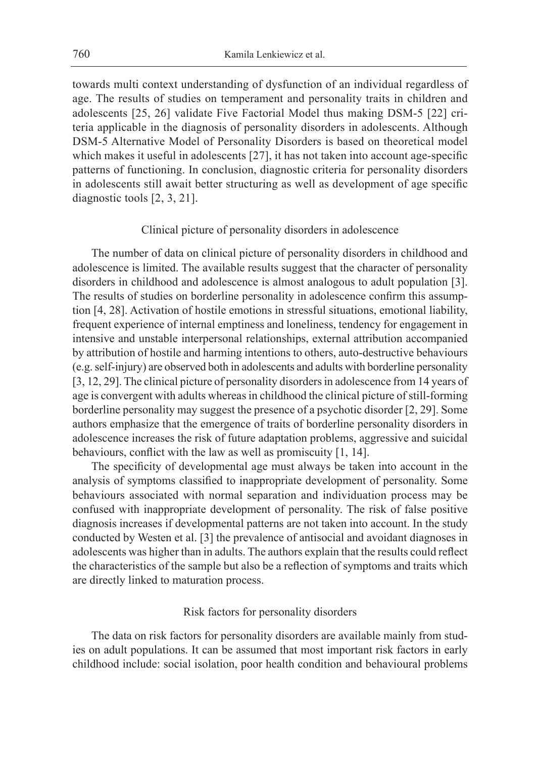towards multi context understanding of dysfunction of an individual regardless of age. The results of studies on temperament and personality traits in children and adolescents [25, 26] validate Five Factorial Model thus making DSM-5 [22] criteria applicable in the diagnosis of personality disorders in adolescents. Although DSM-5 Alternative Model of Personality Disorders is based on theoretical model which makes it useful in adolescents [27], it has not taken into account age-specific patterns of functioning. In conclusion, diagnostic criteria for personality disorders in adolescents still await better structuring as well as development of age specific diagnostic tools [2, 3, 21].

# Clinical picture of personality disorders in adolescence

The number of data on clinical picture of personality disorders in childhood and adolescence is limited. The available results suggest that the character of personality disorders in childhood and adolescence is almost analogous to adult population [3]. The results of studies on borderline personality in adolescence confirm this assumption [4, 28]. Activation of hostile emotions in stressful situations, emotional liability, frequent experience of internal emptiness and loneliness, tendency for engagement in intensive and unstable interpersonal relationships, external attribution accompanied by attribution of hostile and harming intentions to others, auto-destructive behaviours (e.g. self-injury) are observed both in adolescents and adults with borderline personality [3, 12, 29]. The clinical picture of personality disorders in adolescence from 14 years of age is convergent with adults whereas in childhood the clinical picture of still-forming borderline personality may suggest the presence of a psychotic disorder [2, 29]. Some authors emphasize that the emergence of traits of borderline personality disorders in adolescence increases the risk of future adaptation problems, aggressive and suicidal behaviours, conflict with the law as well as promiscuity [1, 14].

The specificity of developmental age must always be taken into account in the analysis of symptoms classified to inappropriate development of personality. Some behaviours associated with normal separation and individuation process may be confused with inappropriate development of personality. The risk of false positive diagnosis increases if developmental patterns are not taken into account. In the study conducted by Westen et al. [3] the prevalence of antisocial and avoidant diagnoses in adolescents was higher than in adults. The authors explain that the results could reflect the characteristics of the sample but also be a reflection of symptoms and traits which are directly linked to maturation process.

# Risk factors for personality disorders

The data on risk factors for personality disorders are available mainly from studies on adult populations. It can be assumed that most important risk factors in early childhood include: social isolation, poor health condition and behavioural problems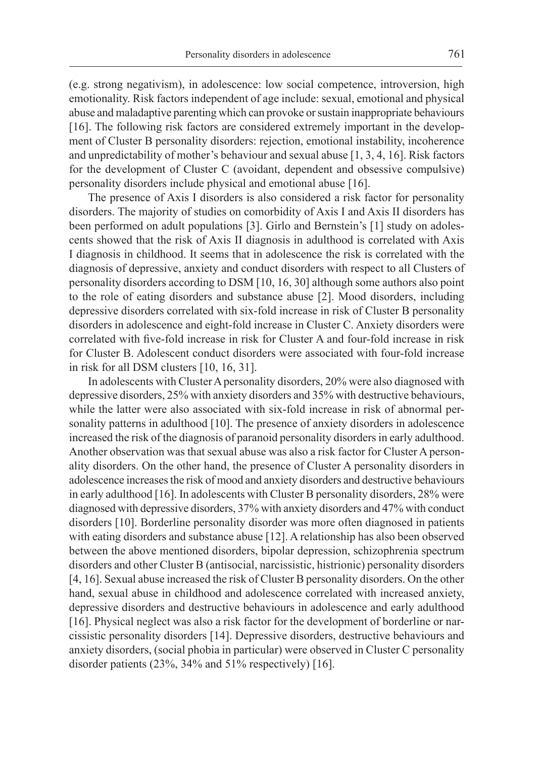(e.g. strong negativism), in adolescence: low social competence, introversion, high emotionality. Risk factors independent of age include: sexual, emotional and physical abuse and maladaptive parenting which can provoke or sustain inappropriate behaviours [16]. The following risk factors are considered extremely important in the development of Cluster B personality disorders: rejection, emotional instability, incoherence and unpredictability of mother's behaviour and sexual abuse [1, 3, 4, 16]. Risk factors for the development of Cluster C (avoidant, dependent and obsessive compulsive) personality disorders include physical and emotional abuse [16].

The presence of Axis I disorders is also considered a risk factor for personality disorders. The majority of studies on comorbidity of Axis I and Axis II disorders has been performed on adult populations [3]. Girlo and Bernstein's [1] study on adolescents showed that the risk of Axis II diagnosis in adulthood is correlated with Axis I diagnosis in childhood. It seems that in adolescence the risk is correlated with the diagnosis of depressive, anxiety and conduct disorders with respect to all Clusters of personality disorders according to DSM [10, 16, 30] although some authors also point to the role of eating disorders and substance abuse [2]. Mood disorders, including depressive disorders correlated with six-fold increase in risk of Cluster B personality disorders in adolescence and eight-fold increase in Cluster C. Anxiety disorders were correlated with five-fold increase in risk for Cluster A and four-fold increase in risk for Cluster B. Adolescent conduct disorders were associated with four-fold increase in risk for all DSM clusters [10, 16, 31].

In adolescents with Cluster A personality disorders, 20% were also diagnosed with depressive disorders, 25% with anxiety disorders and 35% with destructive behaviours, while the latter were also associated with six-fold increase in risk of abnormal personality patterns in adulthood [10]. The presence of anxiety disorders in adolescence increased the risk of the diagnosis of paranoid personality disorders in early adulthood. Another observation was that sexual abuse was also a risk factor for Cluster A personality disorders. On the other hand, the presence of Cluster A personality disorders in adolescence increases the risk of mood and anxiety disorders and destructive behaviours in early adulthood [16]. In adolescents with Cluster B personality disorders, 28% were diagnosed with depressive disorders, 37% with anxiety disorders and 47% with conduct disorders [10]. Borderline personality disorder was more often diagnosed in patients with eating disorders and substance abuse [12]. A relationship has also been observed between the above mentioned disorders, bipolar depression, schizophrenia spectrum disorders and other Cluster B (antisocial, narcissistic, histrionic) personality disorders [4, 16]. Sexual abuse increased the risk of Cluster B personality disorders. On the other hand, sexual abuse in childhood and adolescence correlated with increased anxiety, depressive disorders and destructive behaviours in adolescence and early adulthood [16]. Physical neglect was also a risk factor for the development of borderline or narcissistic personality disorders [14]. Depressive disorders, destructive behaviours and anxiety disorders, (social phobia in particular) were observed in Cluster C personality disorder patients (23%, 34% and 51% respectively) [16].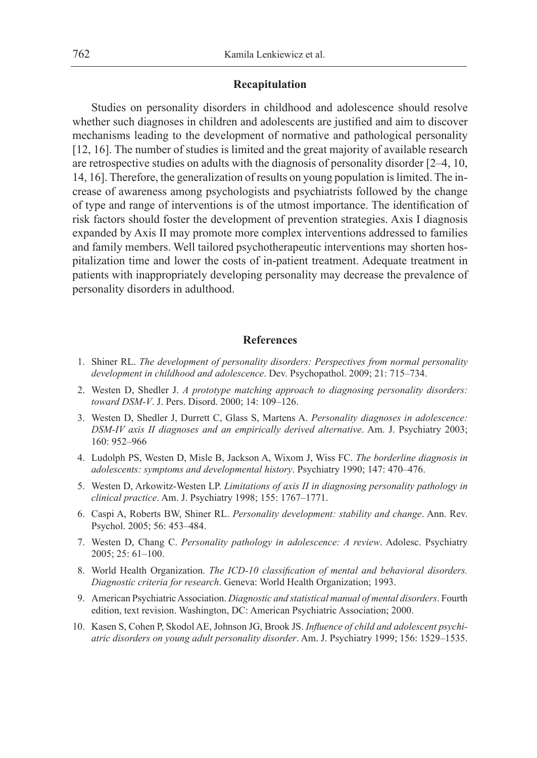# **Recapitulation**

Studies on personality disorders in childhood and adolescence should resolve whether such diagnoses in children and adolescents are justified and aim to discover mechanisms leading to the development of normative and pathological personality [12, 16]. The number of studies is limited and the great majority of available research are retrospective studies on adults with the diagnosis of personality disorder [2–4, 10, 14, 16]. Therefore, the generalization of results on young population is limited. The increase of awareness among psychologists and psychiatrists followed by the change of type and range of interventions is of the utmost importance. The identification of risk factors should foster the development of prevention strategies. Axis I diagnosis expanded by Axis II may promote more complex interventions addressed to families and family members. Well tailored psychotherapeutic interventions may shorten hospitalization time and lower the costs of in-patient treatment. Adequate treatment in patients with inappropriately developing personality may decrease the prevalence of personality disorders in adulthood.

# **References**

- 1. Shiner RL. *The development of personality disorders: Perspectives from normal personality development in childhood and adolescence*. Dev. Psychopathol. 2009; 21: 715–734.
- 2. Westen D, Shedler J. *A prototype matching approach to diagnosing personality disorders: toward DSM-V*. J. Pers. Disord. 2000; 14: 109–126.
- 3. Westen D, Shedler J, Durrett C, Glass S, Martens A. *Personality diagnoses in adolescence: DSM-IV axis II diagnoses and an empirically derived alternative*. Am. J. Psychiatry 2003; 160: 952–966
- 4. Ludolph PS, Westen D, Misle B, Jackson A, Wixom J, Wiss FC. *The borderline diagnosis in adolescents: symptoms and developmental history*. Psychiatry 1990; 147: 470–476.
- 5. Westen D, Arkowitz-Westen LP. *Limitations of axis II in diagnosing personality pathology in clinical practice*. Am. J. Psychiatry 1998; 155: 1767–1771.
- 6. Caspi A, Roberts BW, Shiner RL. *Personality development: stability and change*. Ann. Rev. Psychol. 2005; 56: 453–484.
- 7. Westen D, Chang C. *Personality pathology in adolescence: A review*. Adolesc. Psychiatry 2005; 25: 61–100.
- 8. World Health Organization. *The ICD-10 classification of mental and behavioral disorders. Diagnostic criteria for research*. Geneva: World Health Organization; 1993.
- 9. American Psychiatric Association. *Diagnostic and statistical manual of mental disorders*. Fourth edition, text revision. Washington, DC: American Psychiatric Association; 2000.
- 10. Kasen S, Cohen P, Skodol AE, Johnson JG, Brook JS. *Influence of child and adolescent psychiatric disorders on young adult personality disorder*. Am. J. Psychiatry 1999; 156: 1529–1535.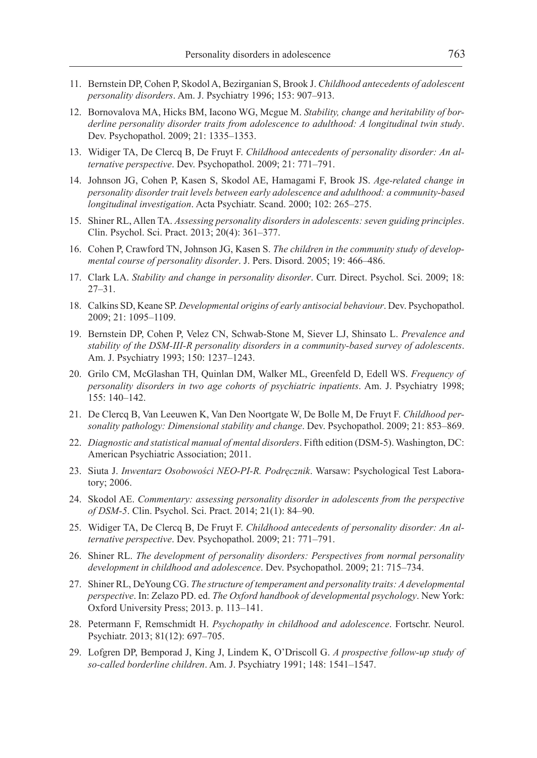- 11. Bernstein DP, Cohen P, Skodol A, Bezirganian S, Brook J. *Childhood antecedents of adolescent personality disorders*. Am. J. Psychiatry 1996; 153: 907–913.
- 12. Bornovalova MA, Hicks BM, Iacono WG, Mcgue M. *Stability, change and heritability of borderline personality disorder traits from adolescence to adulthood: A longitudinal twin study*. Dev. Psychopathol. 2009; 21: 1335–1353.
- 13. Widiger TA, De Clercq B, De Fruyt F. *Childhood antecedents of personality disorder: An alternative perspective*. Dev. Psychopathol. 2009; 21: 771–791.
- 14. Johnson JG, Cohen P, Kasen S, Skodol AE, Hamagami F, Brook JS. *Age-related change in personality disorder trait levels between early adolescence and adulthood: a community-based longitudinal investigation*. Acta Psychiatr. Scand. 2000; 102: 265–275.
- 15. Shiner RL, Allen TA. *Assessing personality disorders in adolescents: seven guiding principles*. Clin. Psychol. Sci. Pract. 2013; 20(4): 361–377.
- 16. Cohen P, Crawford TN, Johnson JG, Kasen S. *The children in the community study of developmental course of personality disorder*. J. Pers. Disord. 2005; 19: 466–486.
- 17. Clark LA. *Stability and change in personality disorder*. Curr. Direct. Psychol. Sci. 2009; 18: 27–31.
- 18. Calkins SD, Keane SP. *Developmental origins of early antisocial behaviour*. Dev. Psychopathol. 2009; 21: 1095–1109.
- 19. Bernstein DP, Cohen P, Velez CN, Schwab-Stone M, Siever LJ, Shinsato L. *Prevalence and stability of the DSM-III-R personality disorders in a community-based survey of adolescents*. Am. J. Psychiatry 1993; 150: 1237–1243.
- 20. Grilo CM, McGlashan TH, Quinlan DM, Walker ML, Greenfeld D, Edell WS. *Frequency of personality disorders in two age cohorts of psychiatric inpatients*. Am. J. Psychiatry 1998; 155: 140–142.
- 21. De Clercq B, Van Leeuwen K, Van Den Noortgate W, De Bolle M, De Fruyt F. *Childhood personality pathology: Dimensional stability and change*. Dev. Psychopathol. 2009; 21: 853–869.
- 22. *Diagnostic and statistical manual of mental disorders*. Fifth edition (DSM-5). Washington, DC: American Psychiatric Association; 2011.
- 23. Siuta J. *Inwentarz Osobowości NEO-PI-R. Podręcznik*. Warsaw: Psychological Test Laboratory; 2006.
- 24. Skodol AE. *Commentary: assessing personality disorder in adolescents from the perspective of DSM-5*. Clin. Psychol. Sci. Pract. 2014; 21(1): 84–90.
- 25. Widiger TA, De Clercq B, De Fruyt F. *Childhood antecedents of personality disorder: An alternative perspective*. Dev. Psychopathol. 2009; 21: 771–791.
- 26. Shiner RL. *The development of personality disorders: Perspectives from normal personality development in childhood and adolescence*. Dev. Psychopathol. 2009; 21: 715–734.
- 27. Shiner RL, DeYoung CG. *The structure of temperament and personality traits: A developmental perspective*. In: Zelazo PD. ed. *The Oxford handbook of developmental psychology*. New York: Oxford University Press; 2013. p. 113–141.
- 28. Petermann F, Remschmidt H. *Psychopathy in childhood and adolescence*. Fortschr. Neurol. Psychiatr. 2013; 81(12): 697–705.
- 29. Lofgren DP, Bemporad J, King J, Lindem K, O'Driscoll G. *A prospective follow-up study of so-called borderline children*. Am. J. Psychiatry 1991; 148: 1541–1547.